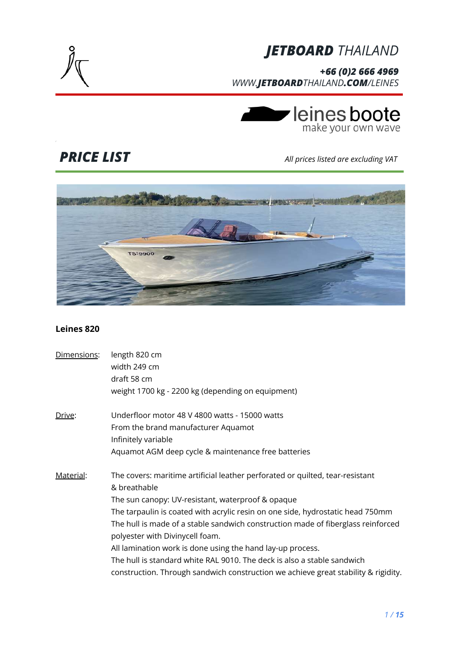

*+66 (0)2 666 4969 WWW.JETBOARDTHAILAND.COM/LEINES*



### *PRICE LIST All prices listed are excluding VAT*



#### **Leines 820**

| Dimensions: | length 820 cm<br>width 249 cm<br>draft 58 cm<br>weight 1700 kg - 2200 kg (depending on equipment)                                                                                                                                                                                                                                                                                                                                                                                                                                                                                          |
|-------------|--------------------------------------------------------------------------------------------------------------------------------------------------------------------------------------------------------------------------------------------------------------------------------------------------------------------------------------------------------------------------------------------------------------------------------------------------------------------------------------------------------------------------------------------------------------------------------------------|
| Drive:      | Underfloor motor 48 V 4800 watts - 15000 watts<br>From the brand manufacturer Aquamot<br>Infinitely variable<br>Aquamot AGM deep cycle & maintenance free batteries                                                                                                                                                                                                                                                                                                                                                                                                                        |
| Material:   | The covers: maritime artificial leather perforated or quilted, tear-resistant<br>& breathable<br>The sun canopy: UV-resistant, waterproof & opaque<br>The tarpaulin is coated with acrylic resin on one side, hydrostatic head 750mm<br>The hull is made of a stable sandwich construction made of fiberglass reinforced<br>polyester with Divinycell foam.<br>All lamination work is done using the hand lay-up process.<br>The hull is standard white RAL 9010. The deck is also a stable sandwich<br>construction. Through sandwich construction we achieve great stability & rigidity. |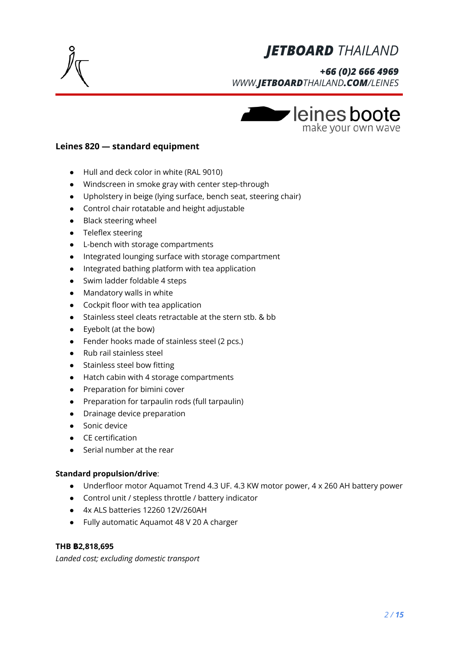

*+66 (0)2 666 4969 WWW.JETBOARDTHAILAND.COM/LEINES*



#### **Leines 820 — standard equipment**

- Hull and deck color in white (RAL 9010)
- Windscreen in smoke gray with center step-through
- Upholstery in beige (lying surface, bench seat, steering chair)
- Control chair rotatable and height adjustable
- Black steering wheel
- Teleflex steering
- L-bench with storage compartments
- Integrated lounging surface with storage compartment
- Integrated bathing platform with tea application
- Swim ladder foldable 4 steps
- Mandatory walls in white
- Cockpit floor with tea application
- Stainless steel cleats retractable at the stern stb. & bb
- Eyebolt (at the bow)
- Fender hooks made of stainless steel (2 pcs.)
- Rub rail stainless steel
- Stainless steel bow fitting
- Hatch cabin with 4 storage compartments
- Preparation for bimini cover
- Preparation for tarpaulin rods (full tarpaulin)
- Drainage device preparation
- Sonic device
- CE certification
- Serial number at the rear

#### **Standard propulsion/drive**:

- Underfloor motor Aquamot Trend 4.3 UF. 4.3 KW motor power, 4 x 260 AH battery power
- Control unit / stepless throttle / battery indicator
- 4x ALS batteries 12260 12V/260AH
- Fully automatic Aquamot 48 V 20 A charger

#### **THB ฿2,818,695**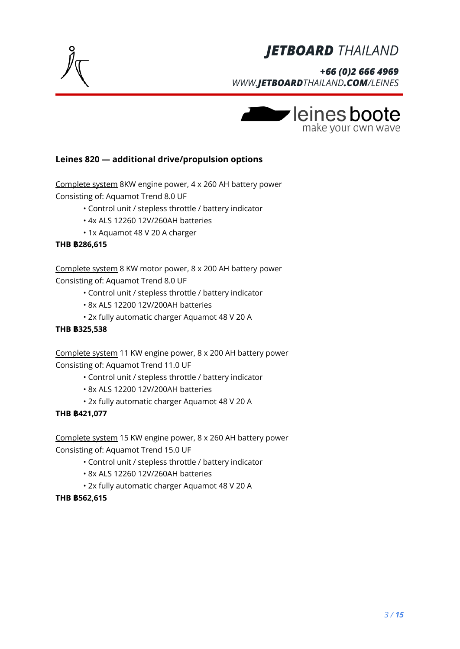

*+66 (0)2 666 4969 WWW.JETBOARDTHAILAND.COM/LEINES*



#### **Leines 820 — additional drive/propulsion options**

Complete system 8KW engine power, 4 x 260 AH battery power Consisting of: Aquamot Trend 8.0 UF

- Control unit / stepless throttle / battery indicator
- 4x ALS 12260 12V/260AH batteries
- 1x Aquamot 48 V 20 A charger

#### **THB ฿286,615**

Complete system 8 KW motor power, 8 x 200 AH battery power Consisting of: Aquamot Trend 8.0 UF

- Control unit / stepless throttle / battery indicator
- 8x ALS 12200 12V/200AH batteries
- 2x fully automatic charger Aquamot 48 V 20 A

#### **THB ฿325,538**

Complete system 11 KW engine power, 8 x 200 AH battery power Consisting of: Aquamot Trend 11.0 UF

- Control unit / stepless throttle / battery indicator
- 8x ALS 12200 12V/200AH batteries
- 2x fully automatic charger Aquamot 48 V 20 A

#### **THB ฿421,077**

Complete system 15 KW engine power, 8 x 260 AH battery power Consisting of: Aquamot Trend 15.0 UF

- Control unit / stepless throttle / battery indicator
- 8x ALS 12260 12V/260AH batteries
- 2x fully automatic charger Aquamot 48 V 20 A

#### **THB ฿562,615**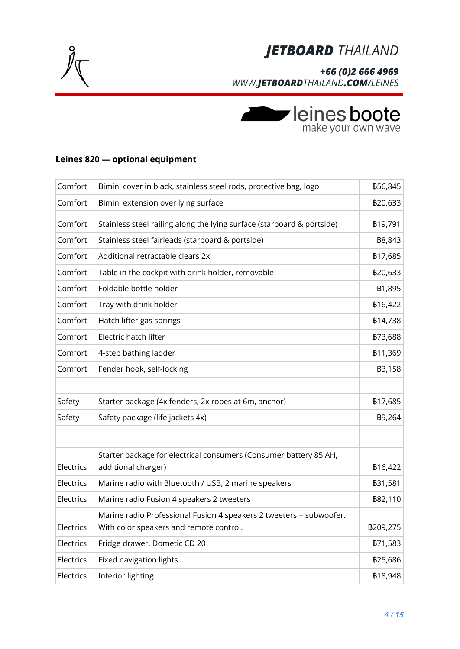

*+66 (0)2 666 4969 WWW.JETBOARDTHAILAND.COM/LEINES*



#### **Leines 820 — optional equipment**

| Comfort   | Bimini cover in black, stainless steel rods, protective bag, logo                                              | <b>B56,845</b> |
|-----------|----------------------------------------------------------------------------------------------------------------|----------------|
| Comfort   | Bimini extension over lying surface                                                                            | B20,633        |
| Comfort   | Stainless steel railing along the lying surface (starboard & portside)                                         | B19,791        |
| Comfort   | Stainless steel fairleads (starboard & portside)                                                               | <b>B8,843</b>  |
| Comfort   | Additional retractable clears 2x                                                                               | <b>B17,685</b> |
| Comfort   | Table in the cockpit with drink holder, removable                                                              | B20,633        |
| Comfort   | Foldable bottle holder                                                                                         | <b>B1,895</b>  |
| Comfort   | Tray with drink holder                                                                                         | B16,422        |
| Comfort   | Hatch lifter gas springs                                                                                       | <b>B14,738</b> |
| Comfort   | Electric hatch lifter                                                                                          | <b>B73,688</b> |
| Comfort   | 4-step bathing ladder                                                                                          | <b>B11,369</b> |
| Comfort   | Fender hook, self-locking                                                                                      | <b>B3,158</b>  |
| Safety    | Starter package (4x fenders, 2x ropes at 6m, anchor)                                                           | <b>B17,685</b> |
| Safety    | Safety package (life jackets 4x)                                                                               | <b>B</b> 9,264 |
| Electrics | Starter package for electrical consumers (Consumer battery 85 AH,<br>additional charger)                       | <b>B16,422</b> |
| Electrics | Marine radio with Bluetooth / USB, 2 marine speakers                                                           | <b>B31,581</b> |
| Electrics | Marine radio Fusion 4 speakers 2 tweeters                                                                      | <b>B82,110</b> |
| Electrics | Marine radio Professional Fusion 4 speakers 2 tweeters + subwoofer.<br>With color speakers and remote control. | B209,275       |
| Electrics | Fridge drawer, Dometic CD 20                                                                                   | <b>B71,583</b> |
| Electrics | Fixed navigation lights                                                                                        | <b>B25,686</b> |
| Electrics | Interior lighting                                                                                              | <b>B18,948</b> |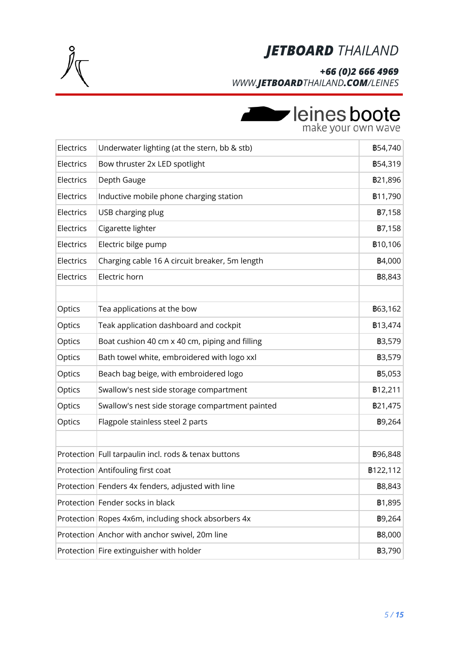

#### *+66 (0)2 666 4969*

*WWW.JETBOARDTHAILAND.COM/LEINES*

# **Delines boote**

| Electrics | Underwater lighting (at the stern, bb & stb)         | <b>B54,740</b> |
|-----------|------------------------------------------------------|----------------|
| Electrics | Bow thruster 2x LED spotlight                        | <b>B54,319</b> |
| Electrics | Depth Gauge                                          | B21,896        |
| Electrics | Inductive mobile phone charging station              | <b>B11,790</b> |
| Electrics | USB charging plug                                    | <b>B7,158</b>  |
| Electrics | Cigarette lighter                                    | <b>B7,158</b>  |
| Electrics | Electric bilge pump                                  | <b>B10,106</b> |
| Electrics | Charging cable 16 A circuit breaker, 5m length       | <b>B4,000</b>  |
| Electrics | Electric horn                                        | <b>B8,843</b>  |
|           |                                                      |                |
| Optics    | Tea applications at the bow                          | B63,162        |
| Optics    | Teak application dashboard and cockpit               | <b>B13,474</b> |
| Optics    | Boat cushion 40 cm x 40 cm, piping and filling       | <b>B3,579</b>  |
| Optics    | Bath towel white, embroidered with logo xxl          | <b>B3,579</b>  |
| Optics    | Beach bag beige, with embroidered logo               | <b>B5,053</b>  |
| Optics    | Swallow's nest side storage compartment              | <b>B12,211</b> |
| Optics    | Swallow's nest side storage compartment painted      | B21,475        |
| Optics    | Flagpole stainless steel 2 parts                     | <b>B</b> 9,264 |
|           |                                                      |                |
|           | Protection Full tarpaulin incl. rods & tenax buttons | <b>B96,848</b> |
|           | Protection Antifouling first coat                    | B122,112       |
|           | Protection Fenders 4x fenders, adjusted with line    | <b>B8,843</b>  |
|           | Protection Fender socks in black                     | <b>B1,895</b>  |
|           | Protection Ropes 4x6m, including shock absorbers 4x  | <b>B9,264</b>  |
|           | Protection Anchor with anchor swivel, 20m line       | <b>B8,000</b>  |
|           | Protection Fire extinguisher with holder             | <b>B3,790</b>  |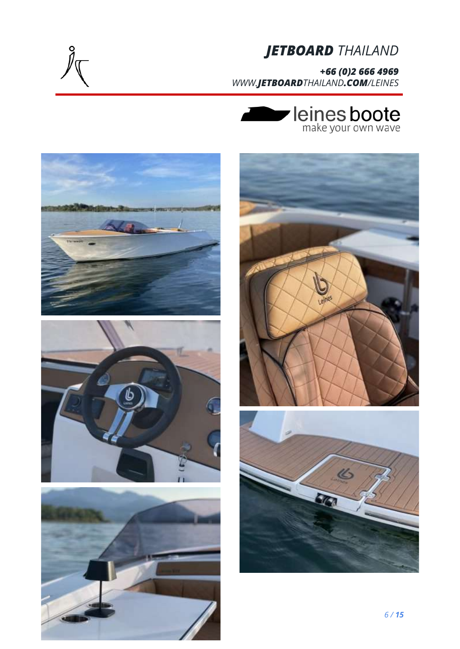

*+66 (0)2 666 4969 WWW.JETBOARDTHAILAND.COM/LEINES*







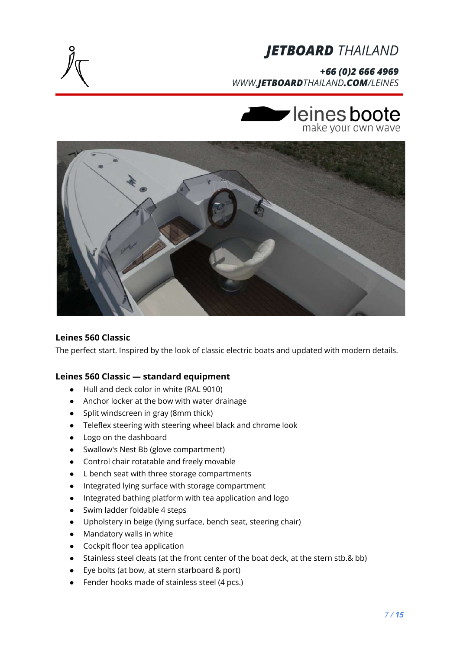

*+66 (0)2 666 4969 WWW.JETBOARDTHAILAND.COM/LEINES*





#### **Leines 560 Classic**

The perfect start. Inspired by the look of classic electric boats and updated with modern details.

#### **Leines 560 Classic — standard equipment**

- Hull and deck color in white (RAL 9010)
- Anchor locker at the bow with water drainage
- Split windscreen in gray (8mm thick)
- Teleflex steering with steering wheel black and chrome look
- Logo on the dashboard
- Swallow's Nest Bb (glove compartment)
- Control chair rotatable and freely movable
- L bench seat with three storage compartments
- Integrated lying surface with storage compartment
- Integrated bathing platform with tea application and logo
- Swim ladder foldable 4 steps
- Upholstery in beige (lying surface, bench seat, steering chair)
- Mandatory walls in white
- Cockpit floor tea application
- Stainless steel cleats (at the front center of the boat deck, at the stern stb.& bb)
- Eye bolts (at bow, at stern starboard & port)
- Fender hooks made of stainless steel (4 pcs.)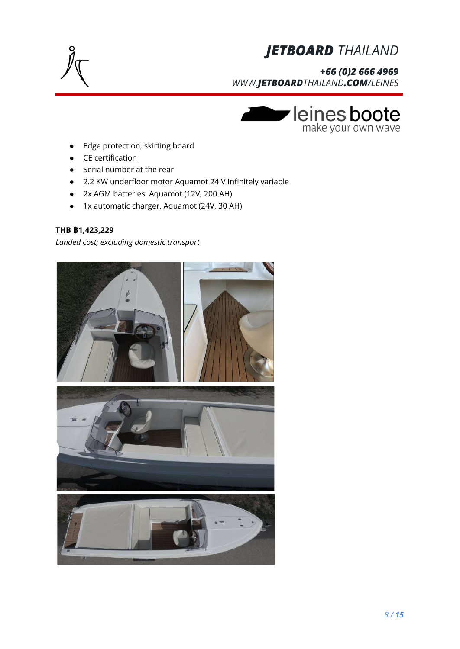

*+66 (0)2 666 4969 WWW.JETBOARDTHAILAND.COM/LEINES*



- Edge protection, skirting board
- CE certification
- Serial number at the rear
- 2.2 KW underfloor motor Aquamot 24 V Infinitely variable
- 2x AGM batteries, Aquamot (12V, 200 AH)
- 1x automatic charger, Aquamot (24V, 30 AH)

#### **THB ฿1,423,229**

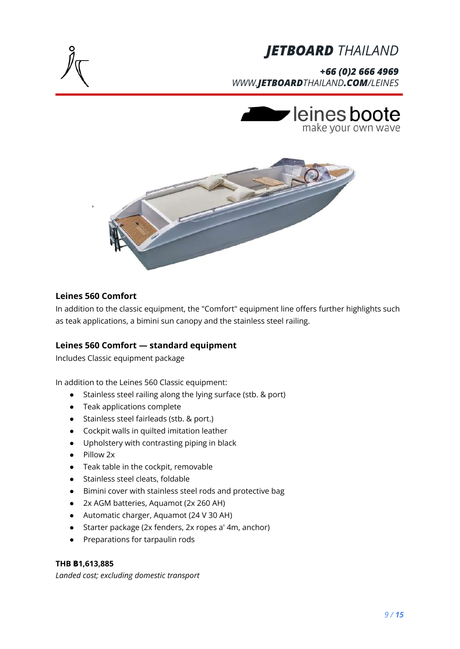

#### *+66 (0)2 666 4969 WWW.JETBOARDTHAILAND.COM/LEINES*





#### **Leines 560 Comfort**

In addition to the classic equipment, the "Comfort" equipment line offers further highlights such as teak applications, a bimini sun canopy and the stainless steel railing.

#### **Leines 560 Comfort — standard equipment**

Includes Classic equipment package

In addition to the Leines 560 Classic equipment:

- Stainless steel railing along the lying surface (stb. & port)
- Teak applications complete
- Stainless steel fairleads (stb. & port.)
- Cockpit walls in quilted imitation leather
- Upholstery with contrasting piping in black
- Pillow 2x
- Teak table in the cockpit, removable
- Stainless steel cleats, foldable
- Bimini cover with stainless steel rods and protective bag
- 2x AGM batteries, Aquamot (2x 260 AH)
- Automatic charger, Aquamot (24 V 30 AH)
- Starter package (2x fenders, 2x ropes a' 4m, anchor)
- Preparations for tarpaulin rods

#### **THB ฿1,613,885**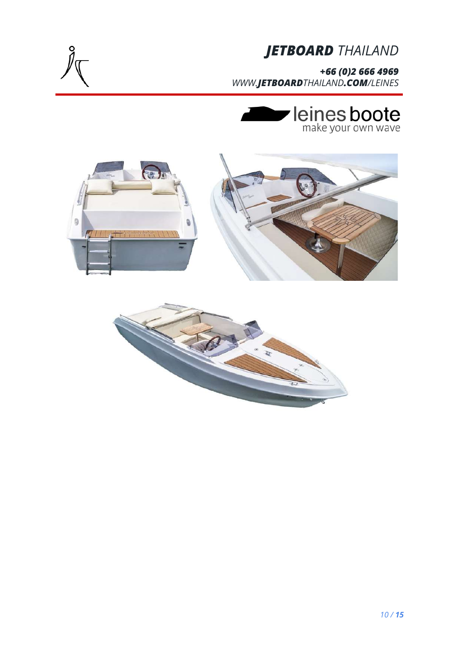

*+66 (0)2 666 4969 WWW.JETBOARDTHAILAND.COM/LEINES*

leines boote



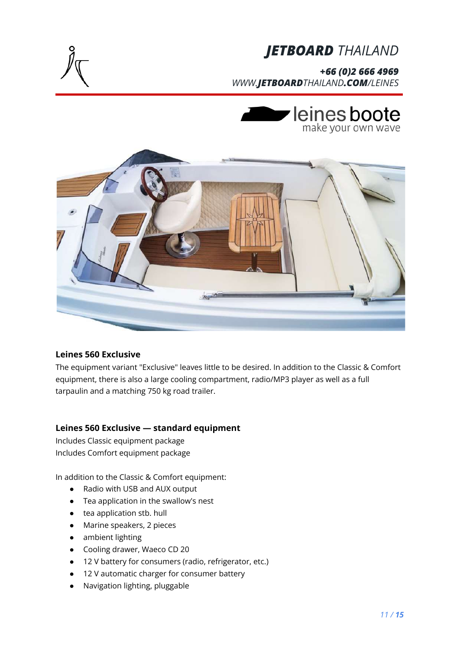

#### *+66 (0)2 666 4969 WWW.JETBOARDTHAILAND.COM/LEINES*





#### **Leines 560 Exclusive**

The equipment variant "Exclusive" leaves little to be desired. In addition to the Classic & Comfort equipment, there is also a large cooling compartment, radio/MP3 player as well as a full tarpaulin and a matching 750 kg road trailer.

#### **Leines 560 Exclusive — standard equipment**

Includes Classic equipment package Includes Comfort equipment package

In addition to the Classic & Comfort equipment:

- Radio with USB and AUX output
- Tea application in the swallow's nest
- tea application stb. hull
- Marine speakers, 2 pieces
- ambient lighting
- Cooling drawer, Waeco CD 20
- 12 V battery for consumers (radio, refrigerator, etc.)
- 12 V automatic charger for consumer battery
- Navigation lighting, pluggable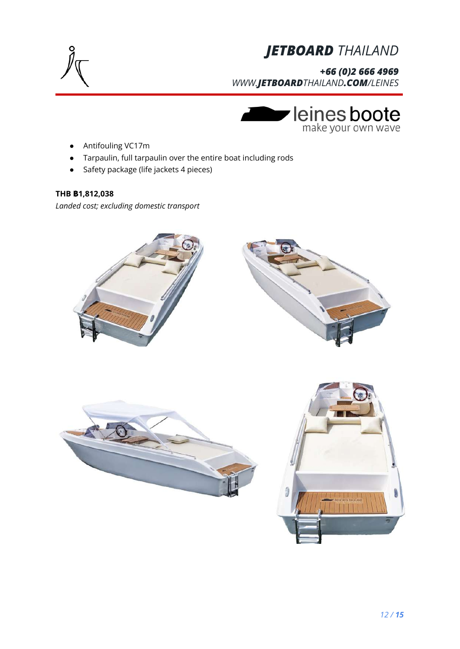

*+66 (0)2 666 4969 WWW.JETBOARDTHAILAND.COM/LEINES*



- Antifouling VC17m
- Tarpaulin, full tarpaulin over the entire boat including rods
- Safety package (life jackets 4 pieces)

#### **THB ฿1,812,038**

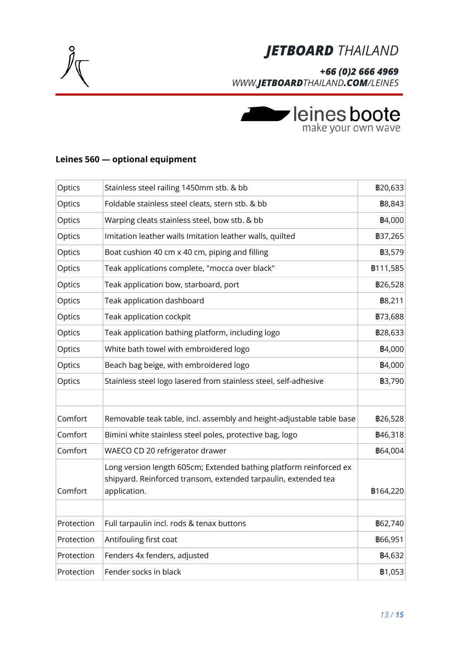

### *+66 (0)2 666 4969*

*WWW.JETBOARDTHAILAND.COM/LEINES*



#### **Leines 560 — optional equipment**

| Optics     | Stainless steel railing 1450mm stb. & bb                                                                                                             | B20,633         |
|------------|------------------------------------------------------------------------------------------------------------------------------------------------------|-----------------|
| Optics     | Foldable stainless steel cleats, stern stb. & bb                                                                                                     | <b>B8,843</b>   |
| Optics     | Warping cleats stainless steel, bow stb. & bb                                                                                                        | <b>B4,000</b>   |
| Optics     | Imitation leather walls Imitation leather walls, quilted                                                                                             | <b>B37,265</b>  |
| Optics     | Boat cushion 40 cm x 40 cm, piping and filling                                                                                                       | <b>B3,579</b>   |
| Optics     | Teak applications complete, "mocca over black"                                                                                                       | B111,585        |
| Optics     | Teak application bow, starboard, port                                                                                                                | <b>B26,528</b>  |
| Optics     | Teak application dashboard                                                                                                                           | <b>B8,211</b>   |
| Optics     | Teak application cockpit                                                                                                                             | <b>B73,688</b>  |
| Optics     | Teak application bathing platform, including logo                                                                                                    | B28,633         |
| Optics     | White bath towel with embroidered logo                                                                                                               | <b>B4,000</b>   |
| Optics     | Beach bag beige, with embroidered logo                                                                                                               | <b>B4,000</b>   |
| Optics     | Stainless steel logo lasered from stainless steel, self-adhesive                                                                                     | <b>B3,790</b>   |
| Comfort    | Removable teak table, incl. assembly and height-adjustable table base                                                                                | <b>B26,528</b>  |
| Comfort    | Bimini white stainless steel poles, protective bag, logo                                                                                             | <b>B46,318</b>  |
| Comfort    | WAECO CD 20 refrigerator drawer                                                                                                                      | <b>B64,004</b>  |
| Comfort    | Long version length 605cm; Extended bathing platform reinforced ex<br>shipyard. Reinforced transom, extended tarpaulin, extended tea<br>application. | B164,220        |
|            |                                                                                                                                                      |                 |
| Protection | Full tarpaulin incl. rods & tenax buttons                                                                                                            | <b>B</b> 62,740 |
| Protection | Antifouling first coat                                                                                                                               | <b>B</b> 66,951 |
| Protection | Fenders 4x fenders, adjusted                                                                                                                         | <b>B4,632</b>   |
| Protection | Fender socks in black                                                                                                                                | <b>B1,053</b>   |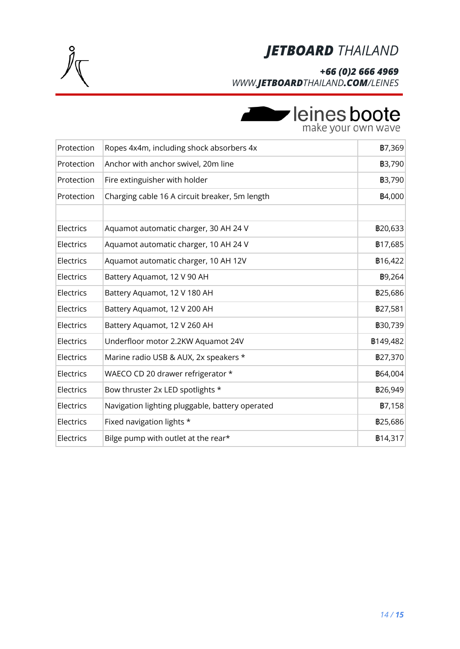

#### *+66 (0)2 666 4969*

*WWW.JETBOARDTHAILAND.COM/LEINES*

# **Delines boote**

| Protection | Ropes 4x4m, including shock absorbers 4x        | <b>B7,369</b>  |
|------------|-------------------------------------------------|----------------|
| Protection | Anchor with anchor swivel, 20m line             | <b>B3,790</b>  |
| Protection | Fire extinguisher with holder                   | <b>B3,790</b>  |
| Protection | Charging cable 16 A circuit breaker, 5m length  | <b>B4,000</b>  |
|            |                                                 |                |
| Electrics  | Aquamot automatic charger, 30 AH 24 V           | B20,633        |
| Electrics  | Aquamot automatic charger, 10 AH 24 V           | <b>B17,685</b> |
| Electrics  | Aquamot automatic charger, 10 AH 12V            | B16,422        |
| Electrics  | Battery Aquamot, 12 V 90 AH                     | <b>B9,264</b>  |
| Electrics  | Battery Aquamot, 12 V 180 AH                    | <b>B25,686</b> |
| Electrics  | Battery Aquamot, 12 V 200 AH                    | <b>B27,581</b> |
| Electrics  | Battery Aquamot, 12 V 260 AH                    | B30,739        |
| Electrics  | Underfloor motor 2.2KW Aquamot 24V              | B149,482       |
| Electrics  | Marine radio USB & AUX, 2x speakers *           | <b>B27,370</b> |
| Electrics  | WAECO CD 20 drawer refrigerator *               | <b>B64,004</b> |
| Electrics  | Bow thruster 2x LED spotlights *                | B26,949        |
| Electrics  | Navigation lighting pluggable, battery operated | <b>B7,158</b>  |
| Electrics  | Fixed navigation lights *                       | <b>B25,686</b> |
| Electrics  | Bilge pump with outlet at the rear*             | <b>B14,317</b> |